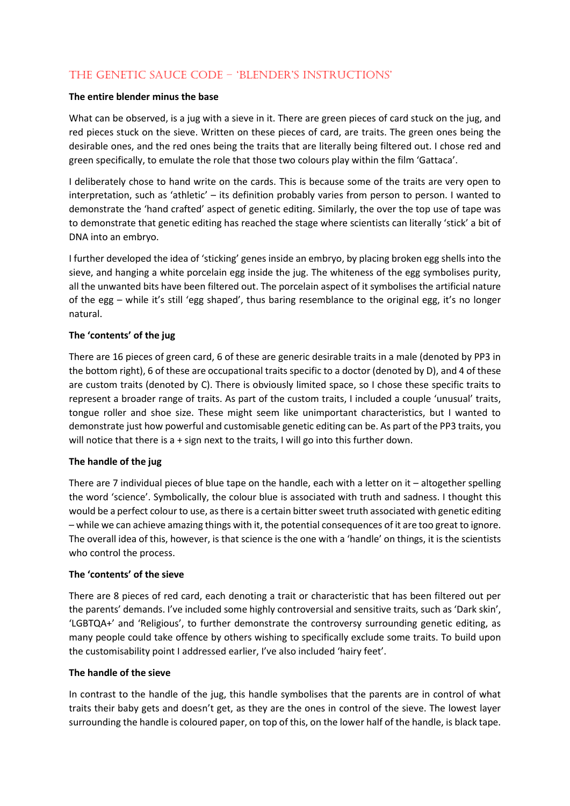# The Genetic Sauce Code – 'blender's instructions'

## **The entire blender minus the base**

What can be observed, is a jug with a sieve in it. There are green pieces of card stuck on the jug, and red pieces stuck on the sieve. Written on these pieces of card, are traits. The green ones being the desirable ones, and the red ones being the traits that are literally being filtered out. I chose red and green specifically, to emulate the role that those two colours play within the film 'Gattaca'.

I deliberately chose to hand write on the cards. This is because some of the traits are very open to interpretation, such as 'athletic' – its definition probably varies from person to person. I wanted to demonstrate the 'hand crafted' aspect of genetic editing. Similarly, the over the top use of tape was to demonstrate that genetic editing has reached the stage where scientists can literally 'stick' a bit of DNA into an embryo.

I further developed the idea of 'sticking' genes inside an embryo, by placing broken egg shells into the sieve, and hanging a white porcelain egg inside the jug. The whiteness of the egg symbolises purity, all the unwanted bits have been filtered out. The porcelain aspect of it symbolises the artificial nature of the egg – while it's still 'egg shaped', thus baring resemblance to the original egg, it's no longer natural.

# **The 'contents' of the jug**

There are 16 pieces of green card, 6 of these are generic desirable traits in a male (denoted by PP3 in the bottom right), 6 of these are occupational traits specific to a doctor (denoted by D), and 4 of these are custom traits (denoted by C). There is obviously limited space, so I chose these specific traits to represent a broader range of traits. As part of the custom traits, I included a couple 'unusual' traits, tongue roller and shoe size. These might seem like unimportant characteristics, but I wanted to demonstrate just how powerful and customisable genetic editing can be. As part of the PP3 traits, you will notice that there is a + sign next to the traits, I will go into this further down.

# **The handle of the jug**

There are 7 individual pieces of blue tape on the handle, each with a letter on it – altogether spelling the word 'science'. Symbolically, the colour blue is associated with truth and sadness. I thought this would be a perfect colour to use, as there is a certain bitter sweet truth associated with genetic editing – while we can achieve amazing things with it, the potential consequences of it are too great to ignore. The overall idea of this, however, is that science is the one with a 'handle' on things, it is the scientists who control the process.

#### **The 'contents' of the sieve**

There are 8 pieces of red card, each denoting a trait or characteristic that has been filtered out per the parents' demands. I've included some highly controversial and sensitive traits, such as 'Dark skin', 'LGBTQA+' and 'Religious', to further demonstrate the controversy surrounding genetic editing, as many people could take offence by others wishing to specifically exclude some traits. To build upon the customisability point I addressed earlier, I've also included 'hairy feet'.

#### **The handle of the sieve**

In contrast to the handle of the jug, this handle symbolises that the parents are in control of what traits their baby gets and doesn't get, as they are the ones in control of the sieve. The lowest layer surrounding the handle is coloured paper, on top of this, on the lower half of the handle, is black tape.